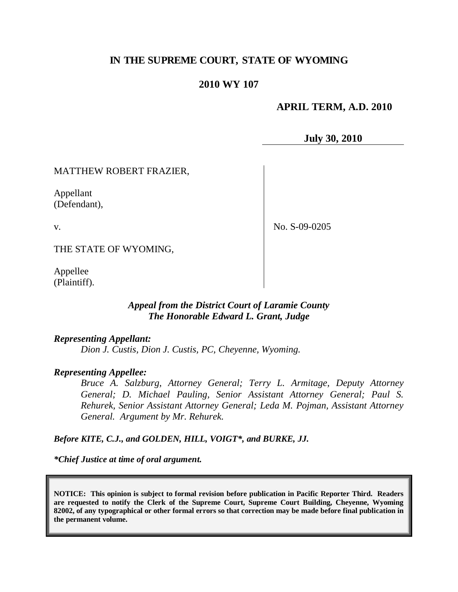# **IN THE SUPREME COURT, STATE OF WYOMING**

### **2010 WY 107**

#### **APRIL TERM, A.D. 2010**

**July 30, 2010**

#### MATTHEW ROBERT FRAZIER,

Appellant (Defendant),

v.

No. S-09-0205

THE STATE OF WYOMING,

Appellee (Plaintiff).

## *Appeal from the District Court of Laramie County The Honorable Edward L. Grant, Judge*

#### *Representing Appellant:*

*Dion J. Custis, Dion J. Custis, PC, Cheyenne, Wyoming.*

#### *Representing Appellee:*

*Bruce A. Salzburg, Attorney General; Terry L. Armitage, Deputy Attorney General; D. Michael Pauling, Senior Assistant Attorney General; Paul S. Rehurek, Senior Assistant Attorney General; Leda M. Pojman, Assistant Attorney General. Argument by Mr. Rehurek.*

*Before KITE, C.J., and GOLDEN, HILL, VOIGT\*, and BURKE, JJ.*

*\*Chief Justice at time of oral argument.*

**NOTICE: This opinion is subject to formal revision before publication in Pacific Reporter Third. Readers are requested to notify the Clerk of the Supreme Court, Supreme Court Building, Cheyenne, Wyoming 82002, of any typographical or other formal errors so that correction may be made before final publication in the permanent volume.**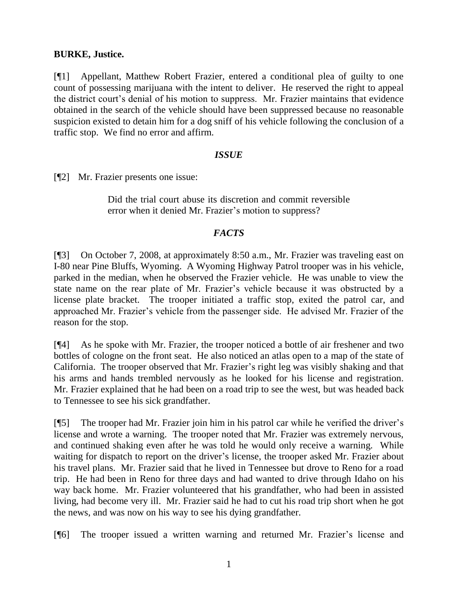# **BURKE, Justice.**

[¶1] Appellant, Matthew Robert Frazier, entered a conditional plea of guilty to one count of possessing marijuana with the intent to deliver. He reserved the right to appeal the district court's denial of his motion to suppress. Mr. Frazier maintains that evidence obtained in the search of the vehicle should have been suppressed because no reasonable suspicion existed to detain him for a dog sniff of his vehicle following the conclusion of a traffic stop. We find no error and affirm.

## *ISSUE*

[¶2] Mr. Frazier presents one issue:

Did the trial court abuse its discretion and commit reversible error when it denied Mr. Frazier's motion to suppress?

# *FACTS*

[¶3] On October 7, 2008, at approximately 8:50 a.m., Mr. Frazier was traveling east on I-80 near Pine Bluffs, Wyoming. A Wyoming Highway Patrol trooper was in his vehicle, parked in the median, when he observed the Frazier vehicle. He was unable to view the state name on the rear plate of Mr. Frazier's vehicle because it was obstructed by a license plate bracket. The trooper initiated a traffic stop, exited the patrol car, and approached Mr. Frazier's vehicle from the passenger side. He advised Mr. Frazier of the reason for the stop.

[¶4] As he spoke with Mr. Frazier, the trooper noticed a bottle of air freshener and two bottles of cologne on the front seat. He also noticed an atlas open to a map of the state of California. The trooper observed that Mr. Frazier's right leg was visibly shaking and that his arms and hands trembled nervously as he looked for his license and registration. Mr. Frazier explained that he had been on a road trip to see the west, but was headed back to Tennessee to see his sick grandfather.

[¶5] The trooper had Mr. Frazier join him in his patrol car while he verified the driver's license and wrote a warning. The trooper noted that Mr. Frazier was extremely nervous, and continued shaking even after he was told he would only receive a warning. While waiting for dispatch to report on the driver's license, the trooper asked Mr. Frazier about his travel plans. Mr. Frazier said that he lived in Tennessee but drove to Reno for a road trip. He had been in Reno for three days and had wanted to drive through Idaho on his way back home. Mr. Frazier volunteered that his grandfather, who had been in assisted living, had become very ill. Mr. Frazier said he had to cut his road trip short when he got the news, and was now on his way to see his dying grandfather.

[¶6] The trooper issued a written warning and returned Mr. Frazier's license and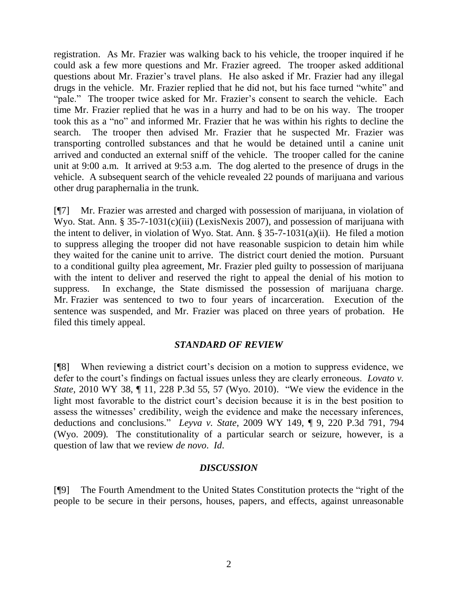registration. As Mr. Frazier was walking back to his vehicle, the trooper inquired if he could ask a few more questions and Mr. Frazier agreed. The trooper asked additional questions about Mr. Frazier's travel plans. He also asked if Mr. Frazier had any illegal drugs in the vehicle. Mr. Frazier replied that he did not, but his face turned "white" and "pale." The trooper twice asked for Mr. Frazier's consent to search the vehicle. Each time Mr. Frazier replied that he was in a hurry and had to be on his way. The trooper took this as a "no" and informed Mr. Frazier that he was within his rights to decline the search. The trooper then advised Mr. Frazier that he suspected Mr. Frazier was transporting controlled substances and that he would be detained until a canine unit arrived and conducted an external sniff of the vehicle. The trooper called for the canine unit at 9:00 a.m. It arrived at 9:53 a.m. The dog alerted to the presence of drugs in the vehicle. A subsequent search of the vehicle revealed 22 pounds of marijuana and various other drug paraphernalia in the trunk.

[¶7] Mr. Frazier was arrested and charged with possession of marijuana, in violation of Wyo. Stat. Ann. § 35-7-1031(c)(iii) (LexisNexis 2007), and possession of marijuana with the intent to deliver, in violation of Wyo. Stat. Ann. § 35-7-1031(a)(ii). He filed a motion to suppress alleging the trooper did not have reasonable suspicion to detain him while they waited for the canine unit to arrive. The district court denied the motion. Pursuant to a conditional guilty plea agreement, Mr. Frazier pled guilty to possession of marijuana with the intent to deliver and reserved the right to appeal the denial of his motion to suppress. In exchange, the State dismissed the possession of marijuana charge. Mr. Frazier was sentenced to two to four years of incarceration. Execution of the sentence was suspended, and Mr. Frazier was placed on three years of probation. He filed this timely appeal.

# *STANDARD OF REVIEW*

[¶8] When reviewing a district court's decision on a motion to suppress evidence, we defer to the court's findings on factual issues unless they are clearly erroneous. *Lovato v. State*, 2010 WY 38, ¶ 11, 228 P.3d 55, 57 (Wyo. 2010). "We view the evidence in the light most favorable to the district court's decision because it is in the best position to assess the witnesses' credibility, weigh the evidence and make the necessary inferences, deductions and conclusions." *Leyva v. State*, 2009 WY 149, ¶ 9, 220 P.3d 791, 794 (Wyo. 2009)*.* The constitutionality of a particular search or seizure, however, is a question of law that we review *de novo*. *Id*.

#### *DISCUSSION*

[¶9] The Fourth Amendment to the United States Constitution protects the "right of the people to be secure in their persons, houses, papers, and effects, against unreasonable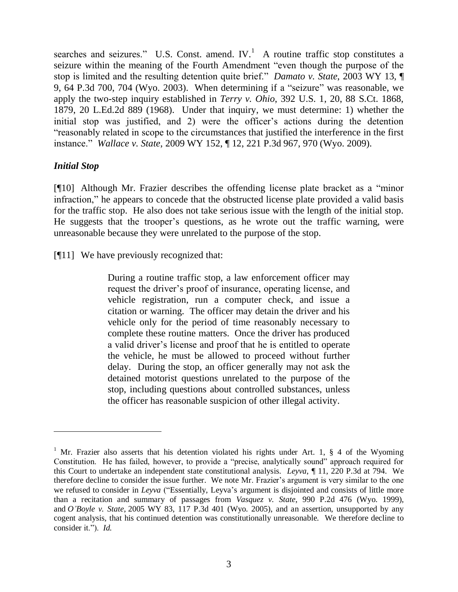searches and seizures." U.S. Const. amend.  $IV.$ <sup>1</sup> A routine traffic stop constitutes a seizure within the meaning of the Fourth Amendment "even though the purpose of the stop is limited and the resulting detention quite brief." *Damato v. State*, 2003 WY 13, ¶ 9, 64 P.3d 700, 704 (Wyo. 2003). When determining if a "seizure" was reasonable, we apply the two-step inquiry established in *Terry v. Ohio*, 392 U.S. 1, 20, 88 S.Ct. 1868, 1879, 20 L.Ed.2d 889 (1968). Under that inquiry, we must determine: 1) whether the initial stop was justified, and 2) were the officer's actions during the detention "reasonably related in scope to the circumstances that justified the interference in the first instance." *Wallace v. State*, 2009 WY 152, ¶ 12, 221 P.3d 967, 970 (Wyo. 2009).

## *Initial Stop*

 $\overline{a}$ 

[¶10] Although Mr. Frazier describes the offending license plate bracket as a "minor infraction," he appears to concede that the obstructed license plate provided a valid basis for the traffic stop. He also does not take serious issue with the length of the initial stop. He suggests that the trooper's questions, as he wrote out the traffic warning, were unreasonable because they were unrelated to the purpose of the stop.

[¶11] We have previously recognized that:

During a routine traffic stop, a law enforcement officer may request the driver's proof of insurance, operating license, and vehicle registration, run a computer check, and issue a citation or warning. The officer may detain the driver and his vehicle only for the period of time reasonably necessary to complete these routine matters. Once the driver has produced a valid driver's license and proof that he is entitled to operate the vehicle, he must be allowed to proceed without further delay. During the stop, an officer generally may not ask the detained motorist questions unrelated to the purpose of the stop, including questions about controlled substances, unless the officer has reasonable suspicion of other illegal activity.

<sup>&</sup>lt;sup>1</sup> Mr. Frazier also asserts that his detention violated his rights under Art. 1,  $\S$  4 of the Wyoming Constitution. He has failed, however, to provide a "precise, analytically sound" approach required for this Court to undertake an independent state constitutional analysis. *Leyva*, ¶ 11, 220 P.3d at 794. We therefore decline to consider the issue further. We note Mr. Frazier's argument is very similar to the one we refused to consider in *Leyva* ("Essentially, Leyva's argument is disjointed and consists of little more than a recitation and summary of passages from *Vasquez v. State*, 990 P.2d 476 (Wyo. 1999), and *O'Boyle v. State*, 2005 WY 83, 117 P.3d 401 (Wyo. 2005), and an assertion, unsupported by any cogent analysis, that his continued detention was constitutionally unreasonable. We therefore decline to consider it."). *Id.*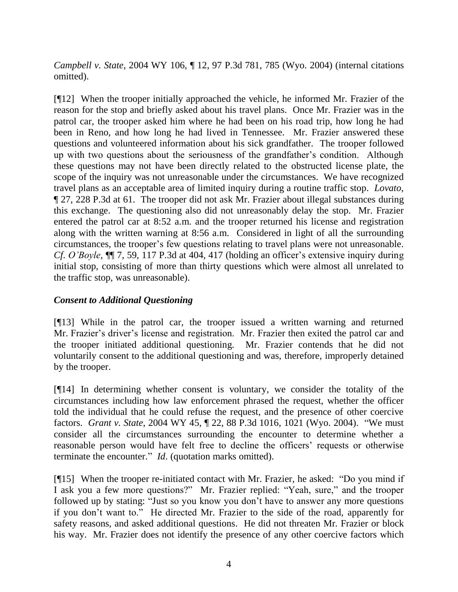*Campbell v. State*, 2004 WY 106, ¶ 12, 97 P.3d 781, 785 (Wyo. 2004) (internal citations omitted).

[¶12] When the trooper initially approached the vehicle, he informed Mr. Frazier of the reason for the stop and briefly asked about his travel plans. Once Mr. Frazier was in the patrol car, the trooper asked him where he had been on his road trip, how long he had been in Reno, and how long he had lived in Tennessee. Mr. Frazier answered these questions and volunteered information about his sick grandfather. The trooper followed up with two questions about the seriousness of the grandfather's condition. Although these questions may not have been directly related to the obstructed license plate, the scope of the inquiry was not unreasonable under the circumstances. We have recognized travel plans as an acceptable area of limited inquiry during a routine traffic stop. *Lovato*, ¶ 27, 228 P.3d at 61. The trooper did not ask Mr. Frazier about illegal substances during this exchange. The questioning also did not unreasonably delay the stop. Mr. Frazier entered the patrol car at 8:52 a.m. and the trooper returned his license and registration along with the written warning at 8:56 a.m. Considered in light of all the surrounding circumstances, the trooper's few questions relating to travel plans were not unreasonable. *Cf*. *O'Boyle*, ¶¶ 7, 59, 117 P.3d at 404, 417 (holding an officer's extensive inquiry during initial stop, consisting of more than thirty questions which were almost all unrelated to the traffic stop, was unreasonable).

# *Consent to Additional Questioning*

[¶13] While in the patrol car, the trooper issued a written warning and returned Mr. Frazier's driver's license and registration. Mr. Frazier then exited the patrol car and the trooper initiated additional questioning. Mr. Frazier contends that he did not voluntarily consent to the additional questioning and was, therefore, improperly detained by the trooper.

[¶14] In determining whether consent is voluntary, we consider the totality of the circumstances including how law enforcement phrased the request, whether the officer told the individual that he could refuse the request, and the presence of other coercive factors. *Grant v. State*, 2004 WY 45, ¶ 22, 88 P.3d 1016, 1021 (Wyo. 2004). "We must consider all the circumstances surrounding the encounter to determine whether a reasonable person would have felt free to decline the officers' requests or otherwise terminate the encounter." *Id*. (quotation marks omitted).

[¶15] When the trooper re-initiated contact with Mr. Frazier, he asked: "Do you mind if I ask you a few more questions?" Mr. Frazier replied: "Yeah, sure," and the trooper followed up by stating: "Just so you know you don't have to answer any more questions if you don't want to." He directed Mr. Frazier to the side of the road, apparently for safety reasons, and asked additional questions. He did not threaten Mr. Frazier or block his way. Mr. Frazier does not identify the presence of any other coercive factors which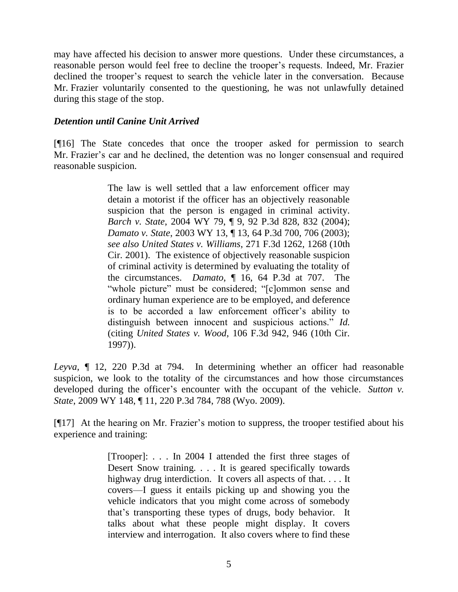may have affected his decision to answer more questions. Under these circumstances, a reasonable person would feel free to decline the trooper's requests. Indeed, Mr. Frazier declined the trooper's request to search the vehicle later in the conversation. Because Mr. Frazier voluntarily consented to the questioning, he was not unlawfully detained during this stage of the stop.

# *Detention until Canine Unit Arrived*

[¶16] The State concedes that once the trooper asked for permission to search Mr. Frazier's car and he declined, the detention was no longer consensual and required reasonable suspicion.

> The law is well settled that a law enforcement officer may detain a motorist if the officer has an objectively reasonable suspicion that the person is engaged in criminal activity. *Barch v. State*, 2004 WY 79, ¶ 9, 92 P.3d 828, 832 (2004); *Damato v. State*, 2003 WY 13, ¶ 13, 64 P.3d 700, 706 (2003); *see also United States v. Williams*, 271 F.3d 1262, 1268 (10th Cir. 2001). The existence of objectively reasonable suspicion of criminal activity is determined by evaluating the totality of the circumstances. *Damato*, ¶ 16, 64 P.3d at 707. The "whole picture" must be considered; "[c]ommon sense and ordinary human experience are to be employed, and deference is to be accorded a law enforcement officer's ability to distinguish between innocent and suspicious actions." *Id.*  (citing *United States v. Wood*, 106 F.3d 942, 946 (10th Cir. 1997)).

*Leyva*, ¶ 12, 220 P.3d at 794. In determining whether an officer had reasonable suspicion, we look to the totality of the circumstances and how those circumstances developed during the officer's encounter with the occupant of the vehicle. *Sutton v. State*, 2009 WY 148, ¶ 11, 220 P.3d 784, 788 (Wyo. 2009).

[¶17] At the hearing on Mr. Frazier's motion to suppress, the trooper testified about his experience and training:

> [Trooper]: . . . In 2004 I attended the first three stages of Desert Snow training. . . . It is geared specifically towards highway drug interdiction. It covers all aspects of that.... It covers—I guess it entails picking up and showing you the vehicle indicators that you might come across of somebody that's transporting these types of drugs, body behavior. It talks about what these people might display. It covers interview and interrogation. It also covers where to find these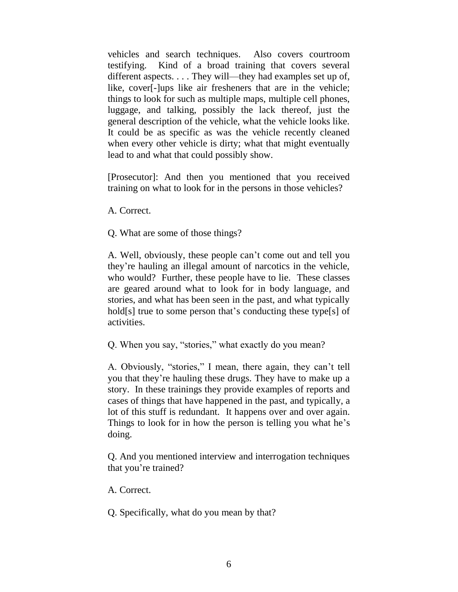vehicles and search techniques. Also covers courtroom testifying. Kind of a broad training that covers several different aspects. . . . They will—they had examples set up of, like, cover[-]ups like air fresheners that are in the vehicle; things to look for such as multiple maps, multiple cell phones, luggage, and talking, possibly the lack thereof, just the general description of the vehicle, what the vehicle looks like. It could be as specific as was the vehicle recently cleaned when every other vehicle is dirty; what that might eventually lead to and what that could possibly show.

[Prosecutor]: And then you mentioned that you received training on what to look for in the persons in those vehicles?

A. Correct.

Q. What are some of those things?

A. Well, obviously, these people can't come out and tell you they're hauling an illegal amount of narcotics in the vehicle, who would? Further, these people have to lie. These classes are geared around what to look for in body language, and stories, and what has been seen in the past, and what typically hold[s] true to some person that's conducting these type[s] of activities.

Q. When you say, "stories," what exactly do you mean?

A. Obviously, "stories," I mean, there again, they can't tell you that they're hauling these drugs. They have to make up a story. In these trainings they provide examples of reports and cases of things that have happened in the past, and typically, a lot of this stuff is redundant. It happens over and over again. Things to look for in how the person is telling you what he's doing.

Q. And you mentioned interview and interrogation techniques that you're trained?

A. Correct.

Q. Specifically, what do you mean by that?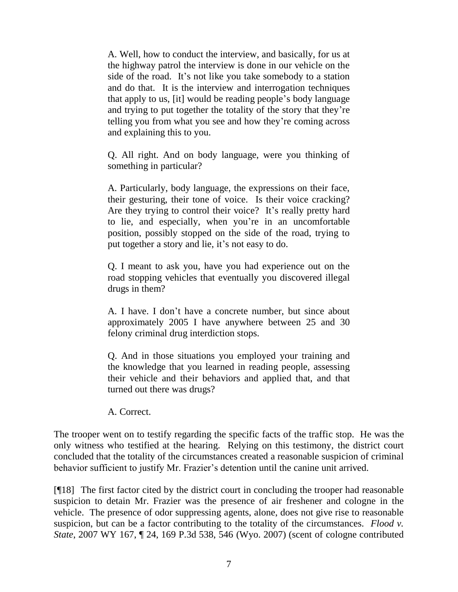A. Well, how to conduct the interview, and basically, for us at the highway patrol the interview is done in our vehicle on the side of the road. It's not like you take somebody to a station and do that. It is the interview and interrogation techniques that apply to us, [it] would be reading people's body language and trying to put together the totality of the story that they're telling you from what you see and how they're coming across and explaining this to you.

Q. All right. And on body language, were you thinking of something in particular?

A. Particularly, body language, the expressions on their face, their gesturing, their tone of voice. Is their voice cracking? Are they trying to control their voice? It's really pretty hard to lie, and especially, when you're in an uncomfortable position, possibly stopped on the side of the road, trying to put together a story and lie, it's not easy to do.

Q. I meant to ask you, have you had experience out on the road stopping vehicles that eventually you discovered illegal drugs in them?

A. I have. I don't have a concrete number, but since about approximately 2005 I have anywhere between 25 and 30 felony criminal drug interdiction stops.

Q. And in those situations you employed your training and the knowledge that you learned in reading people, assessing their vehicle and their behaviors and applied that, and that turned out there was drugs?

A. Correct.

The trooper went on to testify regarding the specific facts of the traffic stop. He was the only witness who testified at the hearing. Relying on this testimony, the district court concluded that the totality of the circumstances created a reasonable suspicion of criminal behavior sufficient to justify Mr. Frazier's detention until the canine unit arrived.

[¶18] The first factor cited by the district court in concluding the trooper had reasonable suspicion to detain Mr. Frazier was the presence of air freshener and cologne in the vehicle. The presence of odor suppressing agents, alone, does not give rise to reasonable suspicion, but can be a factor contributing to the totality of the circumstances. *Flood v. State*, 2007 WY 167, ¶ 24, 169 P.3d 538, 546 (Wyo. 2007) (scent of cologne contributed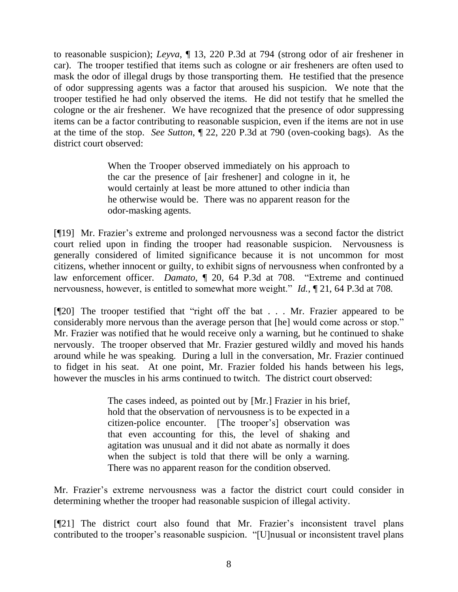to reasonable suspicion); *Leyva*, ¶ 13, 220 P.3d at 794 (strong odor of air freshener in car). The trooper testified that items such as cologne or air fresheners are often used to mask the odor of illegal drugs by those transporting them. He testified that the presence of odor suppressing agents was a factor that aroused his suspicion. We note that the trooper testified he had only observed the items. He did not testify that he smelled the cologne or the air freshener. We have recognized that the presence of odor suppressing items can be a factor contributing to reasonable suspicion, even if the items are not in use at the time of the stop. *See Sutton*, ¶ 22, 220 P.3d at 790 (oven-cooking bags). As the district court observed:

> When the Trooper observed immediately on his approach to the car the presence of [air freshener] and cologne in it, he would certainly at least be more attuned to other indicia than he otherwise would be. There was no apparent reason for the odor-masking agents.

[¶19] Mr. Frazier's extreme and prolonged nervousness was a second factor the district court relied upon in finding the trooper had reasonable suspicion. Nervousness is generally considered of limited significance because it is not uncommon for most citizens, whether innocent or guilty, to exhibit signs of nervousness when confronted by a law enforcement officer. *Damato*, ¶ 20, 64 P.3d at 708. "Extreme and continued nervousness, however, is entitled to somewhat more weight." *Id.*, ¶ 21, 64 P.3d at 708.

[¶20] The trooper testified that "right off the bat . . . Mr. Frazier appeared to be considerably more nervous than the average person that [he] would come across or stop." Mr. Frazier was notified that he would receive only a warning, but he continued to shake nervously. The trooper observed that Mr. Frazier gestured wildly and moved his hands around while he was speaking. During a lull in the conversation, Mr. Frazier continued to fidget in his seat. At one point, Mr. Frazier folded his hands between his legs, however the muscles in his arms continued to twitch. The district court observed:

> The cases indeed, as pointed out by [Mr.] Frazier in his brief, hold that the observation of nervousness is to be expected in a citizen-police encounter. [The trooper's] observation was that even accounting for this, the level of shaking and agitation was unusual and it did not abate as normally it does when the subject is told that there will be only a warning. There was no apparent reason for the condition observed.

Mr. Frazier's extreme nervousness was a factor the district court could consider in determining whether the trooper had reasonable suspicion of illegal activity.

[¶21] The district court also found that Mr. Frazier's inconsistent travel plans contributed to the trooper's reasonable suspicion. "[U]nusual or inconsistent travel plans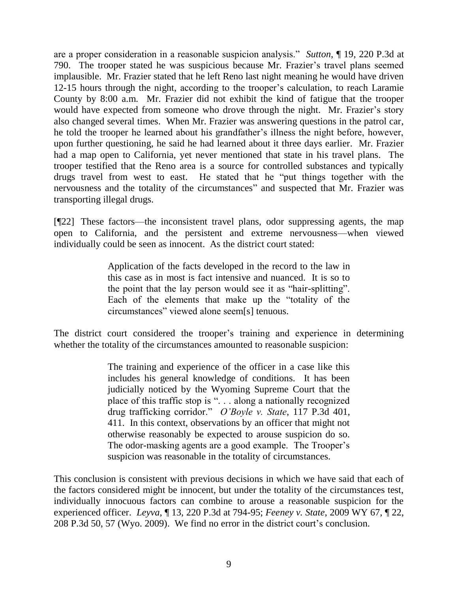are a proper consideration in a reasonable suspicion analysis." *Sutton*, ¶ 19, 220 P.3d at 790. The trooper stated he was suspicious because Mr. Frazier's travel plans seemed implausible. Mr. Frazier stated that he left Reno last night meaning he would have driven 12-15 hours through the night, according to the trooper's calculation, to reach Laramie County by 8:00 a.m. Mr. Frazier did not exhibit the kind of fatigue that the trooper would have expected from someone who drove through the night. Mr. Frazier's story also changed several times. When Mr. Frazier was answering questions in the patrol car, he told the trooper he learned about his grandfather's illness the night before, however, upon further questioning, he said he had learned about it three days earlier. Mr. Frazier had a map open to California, yet never mentioned that state in his travel plans. The trooper testified that the Reno area is a source for controlled substances and typically drugs travel from west to east. He stated that he "put things together with the nervousness and the totality of the circumstances" and suspected that Mr. Frazier was transporting illegal drugs.

[¶22] These factors—the inconsistent travel plans, odor suppressing agents, the map open to California, and the persistent and extreme nervousness—when viewed individually could be seen as innocent. As the district court stated:

> Application of the facts developed in the record to the law in this case as in most is fact intensive and nuanced. It is so to the point that the lay person would see it as "hair-splitting". Each of the elements that make up the "totality of the circumstances" viewed alone seem[s] tenuous.

The district court considered the trooper's training and experience in determining whether the totality of the circumstances amounted to reasonable suspicion:

> The training and experience of the officer in a case like this includes his general knowledge of conditions. It has been judicially noticed by the Wyoming Supreme Court that the place of this traffic stop is "... along a nationally recognized drug trafficking corridor." *O'Boyle v. State*, 117 P.3d 401, 411. In this context, observations by an officer that might not otherwise reasonably be expected to arouse suspicion do so. The odor-masking agents are a good example. The Trooper's suspicion was reasonable in the totality of circumstances.

This conclusion is consistent with previous decisions in which we have said that each of the factors considered might be innocent, but under the totality of the circumstances test, individually innocuous factors can combine to arouse a reasonable suspicion for the experienced officer. *Leyva*, ¶ 13, 220 P.3d at 794-95; *Feeney v. State*, 2009 WY 67, ¶ 22, 208 P.3d 50, 57 (Wyo. 2009). We find no error in the district court's conclusion.